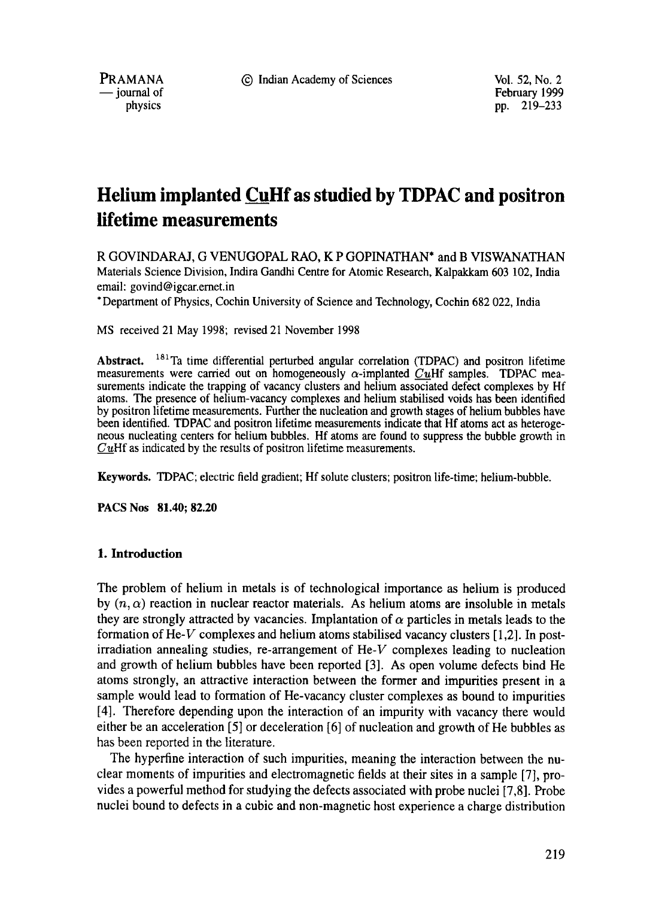PRAMANA <sup>2</sup> © Indian Academy of Sciences Vol. 52, No. 2<br>
a iournal of February 1999

 $-$  journal of physics

pp.  $219-233$ 

# **Helium implanted CuHf as studied by TDPAC and positron lifetime measurements**

R GOVINDARAJ, G VENUGOPAL RAO, K P GOPINATHAN\* and B VISWANATHAN Materials Science Division, Indira Gandhi Centre for Atomic Research, Kalpakkam 603 102, India email: govind @igcar.ernet.in

\* Department of Physics, Cochin University of Science and Technology, Cochin 682 022, India

MS received 21 May 1998; revised 21 November 1998

Abstract. <sup>181</sup>Ta time differential perturbed angular correlation (TDPAC) and positron lifetime measurements were carried out on homogeneously  $\alpha$ -implanted CuHf samples. TDPAC measurements indicate the trapping of vacancy clusters and helium associated defect complexes by Hf atoms. The presence of helium-vacancy complexes and helium stabilised voids has been identified by positron lifetime measurements. Further the nucleation and growth stages of helium bubbles have been identified. TDPAC and positron lifetime measurements indicate that Hf atoms act as heterogeneous nucleating centers for helium bubbles. Hf atoms are found to suppress the bubble growth in CuHf as indicated by the results of positron lifetime measurements.

**Keywords.** TDPAC; electric field gradient; Hf solute clusters; positron life-time; helium-bubble.

**PACS Nos 81.40; 82.20** 

#### **1. Introduction**

The problem of helium in metals is of technological importance as helium is produced by  $(n, \alpha)$  reaction in nuclear reactor materials. As helium atoms are insoluble in metals they are strongly attracted by vacancies. Implantation of  $\alpha$  particles in metals leads to the formation of He-V complexes and helium atoms stabilised vacancy clusters  $[1,2]$ . In postirradiation annealing studies, re-arrangement of He-V complexes leading to nucleation and growth of helium bubbles have been reported [3]. As open volume defects bind He atoms strongly, an attractive interaction between the former and impurities present in a sample would lead to formation of He-vacancy cluster complexes as bound to impurities [4]. Therefore depending upon the interaction of an impurity with vacancy there would either be an acceleration [5] or deceleration [6] of nucleation and growth of He bubbles as has been reported in the literature.

The hyperfine interaction of such impurities, meaning the interaction between the nuclear moments of impurities and electromagnetic fields at their sites in a sample [7], provides a powerful method for studying the defects associated with probe nuclei [7,8]. Probe nuclei bound to defects in a cubic and non-magnetic host experience a charge distribution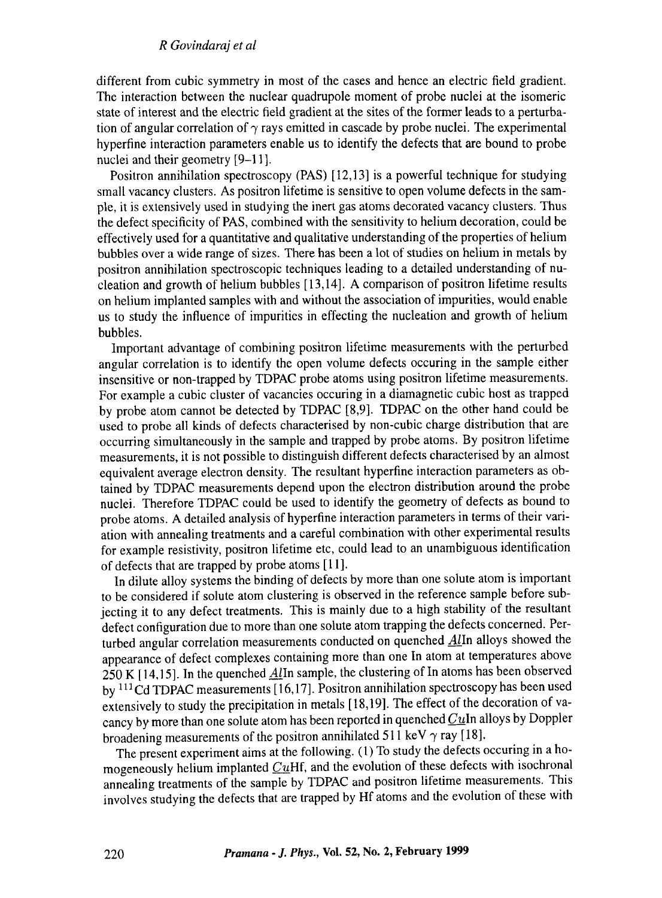#### *R Govindaraj et al*

different from cubic symmetry in most of the cases and hence an electric field gradient. The interaction between the nuclear quadrupole moment of probe nuclei at the isomeric state of interest and the electric field gradient at the sites of the former leads to a perturbation of angular correlation of  $\gamma$  rays emitted in cascade by probe nuclei. The experimental hyperfine interaction parameters enable us to identify the defects that are bound to probe nuclei and their geometry [9-11].

Positron annihilation spectroscopy (PAS) [12,13] is a powerful technique for studying small vacancy clusters. As positron lifetime is sensitive to open volume defects in the sample, it is extensively used in studying the inert gas atoms decorated vacancy clusters. Thus the defect specificity of PAS, combined with the sensitivity to helium decoration, could be effectively used for a quantitative and qualitative understanding of the properties of helium bubbles over a wide range of sizes. There has been a lot of studies on helium in metals by positron annihilation spectroscopic techniques leading to a detailed understanding of nucleation and growth of helium bubbles [13,14]. A comparison of positron lifetime results on helium implanted samples with and without the association of impurities, would enable us to study the influence of impurities in effecting the nucleation and growth of helium bubbles.

Important advantage of combining positron lifetime measurements with the perturbed angular correlation is to identify the open volume defects occuring in the sample either insensitive or non-trapped by TDPAC probe atoms using positron lifetime measurements. For example a cubic cluster of vacancies occuring in a diamagnetic cubic host as trapped by probe atom cannot be detected by TDPAC [8,9]. TDPAC on the other hand could be used to probe all kinds of defects characterised by non-cubic charge distribution that are occurring simultaneously in the sample and trapped by probe atoms. By positron lifetime measurements, it is not possible to distinguish different defects characterised by an almost equivalent average electron density. The resultant hyperfine interaction parameters as obtained by TDPAC measurements depend upon the electron distribution around the probe nuclei. Therefore TDPAC could be used to identify the geometry of defects as bound to probe atoms. A detailed analysis of hyperfine interaction parameters in terms of their variation with annealing treatments and a careful combination with other experimental results for example resistivity, positron lifetime etc, could lead to an unambiguous identification of defects that are trapped by probe atoms [11].

In dilute alloy systems the binding of defects by more than one solute atom is important to be considered if solute atom clustering is observed in the reference sample before subjecting it to any defect treatments. This is mainly due to a high stability of the resultant defect configuration due to more than one solute atom trapping the defects concerned. Perturbed angular correlation measurements conducted on quenched  $\Delta l$ In alloys showed the appearance of defect complexes containing more than one In atom at temperatures above 250 K [14,15]. In the quenched  $Al$ In sample, the clustering of In atoms has been observed by  $111 \text{Cd TDPAC measurements}$  [16,17]. Positron annihilation spectroscopy has been used extensively to study the precipitation in metals [18,19]. The effect of the decoration of vacancy by more than one solute atom has been reported in quenched  $Cu$  In alloys by Doppler broadening measurements of the positron annihilated 511 keV  $\gamma$  ray [18].

The present experiment aims at the following. (1) To study the defects occuring in a homogeneously helium implanted  $Cu$ Hf, and the evolution of these defects with isochronal annealing treatments of the sample by TDPAC and positron lifetime measurements. This involves studying the defects that are trapped by Hf atoms and the evolution of these with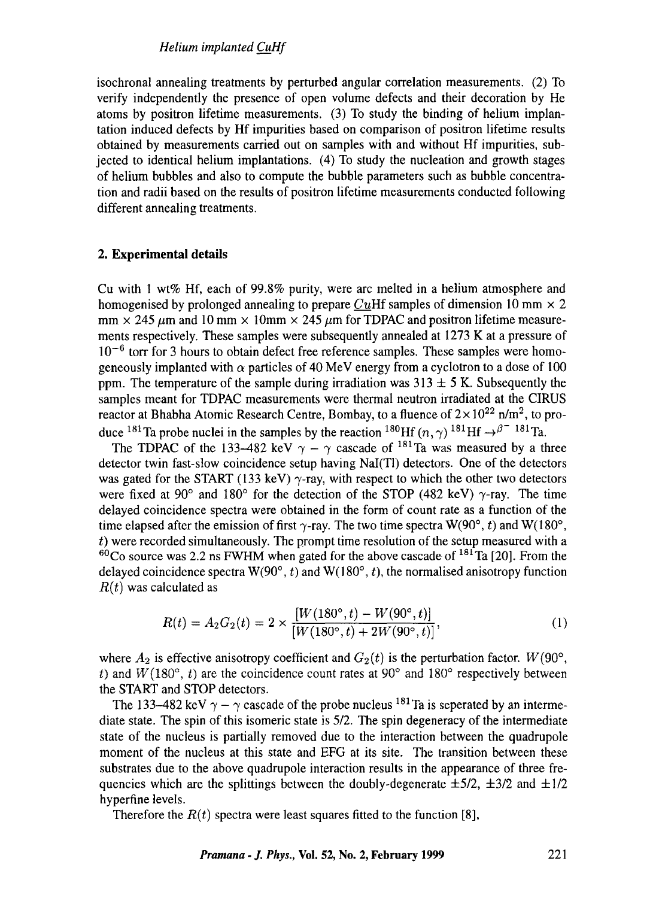## *Helium implanted CuHf*

isochronal annealing treatments by perturbed angular correlation measurements. (2) To verify independently the presence of open volume defects and their decoration by He atoms by positron lifetime measurements. (3) To study the binding of helium implantation induced defects by Hf impurities based on comparison of positron lifetime results obtained by measurements carried out on samples with and without Hf impurities, subjected to identical helium implantations. (4) To study the nucleation and growth stages of helium bubbles and also to compute the bubble parameters such as bubble concentration and radii based on the results of positron lifetime measurements conducted following different annealing treatments.

#### **2. Experimental details**

Cu with 1 wt% Hf, each of 99.8% purity, were arc melted in a helium atmosphere and homogenised by prolonged annealing to prepare  $CuHf$  samples of dimension 10 mm  $\times$  2  $\text{mm} \times 245 \text{ }\mu\text{m}$  and 10 mm  $\times$  10mm  $\times$  245  $\mu$ m for TDPAC and positron lifetime measurements respectively. These samples were subsequently annealed at 1273 K at a pressure of  $10^{-6}$  torr for 3 hours to obtain defect free reference samples. These samples were homogeneously implanted with  $\alpha$  particles of 40 MeV energy from a cyclotron to a dose of 100 ppm. The temperature of the sample during irradiation was  $313 \pm 5$  K. Subsequently the samples meant for TDPAC measurements were thermal neutron irradiated at the CIRUS reactor at Bhabha Atomic Research Centre, Bombay, to a fluence of  $2 \times 10^{22}$  n/m<sup>2</sup>, to produce <sup>181</sup>Ta probe nuclei in the samples by the reaction <sup>180</sup>Hf  $(n, \gamma)$ <sup>181</sup>Hf  $\rightarrow$  <sup> $\beta$ -181</sup>Ta.

The TDPAC of the 133-482 keV  $\gamma - \gamma$  cascade of <sup>181</sup>Ta was measured by a three detector twin fast-slow coincidence setup having NaI(TI) detectors. One of the detectors was gated for the START (133 keV)  $\gamma$ -ray, with respect to which the other two detectors were fixed at 90 $^{\circ}$  and 180 $^{\circ}$  for the detection of the STOP (482 keV)  $\gamma$ -ray. The time delayed coincidence spectra were obtained in the form of count rate as a function of the time elapsed after the emission of first  $\gamma$ -ray. The two time spectra W(90°, t) and W(180°,  $t$ ) were recorded simultaneously. The prompt time resolution of the setup measured with a  ${}^{60}Co$  source was 2.2 ns FWHM when gated for the above cascade of  ${}^{181}Ta$  [20]. From the delayed coincidence spectra  $W(90^\circ, t)$  and  $W(180^\circ, t)$ , the normalised anisotropy function *R(t)* was calculated as

$$
R(t) = A_2 G_2(t) = 2 \times \frac{[W(180^\circ, t) - W(90^\circ, t)]}{[W(180^\circ, t) + 2W(90^\circ, t)]},
$$
\n(1)

where  $A_2$  is effective anisotropy coefficient and  $G_2(t)$  is the perturbation factor.  $W(90^\circ,$ t) and  $W(180^\circ, t)$  are the coincidence count rates at 90° and 180° respectively between the START and STOP detectors.

The 133-482 keV  $\gamma - \gamma$  cascade of the probe nucleus <sup>181</sup>Ta is seperated by an intermediate state. The spin of this isomeric state is 5/2. The spin degeneracy of the intermediate state of the nucleus is partially removed due to the interaction between the quadrupole moment of the nucleus at this state and EFG at its site. The transition between these substrates due to the above quadrupole interaction results in the appearance of three frequencies which are the splittings between the doubly-degenerate  $\pm 5/2$ ,  $\pm 3/2$  and  $\pm 1/2$ hyperfine levels.

Therefore the  $R(t)$  spectra were least squares fitted to the function [8],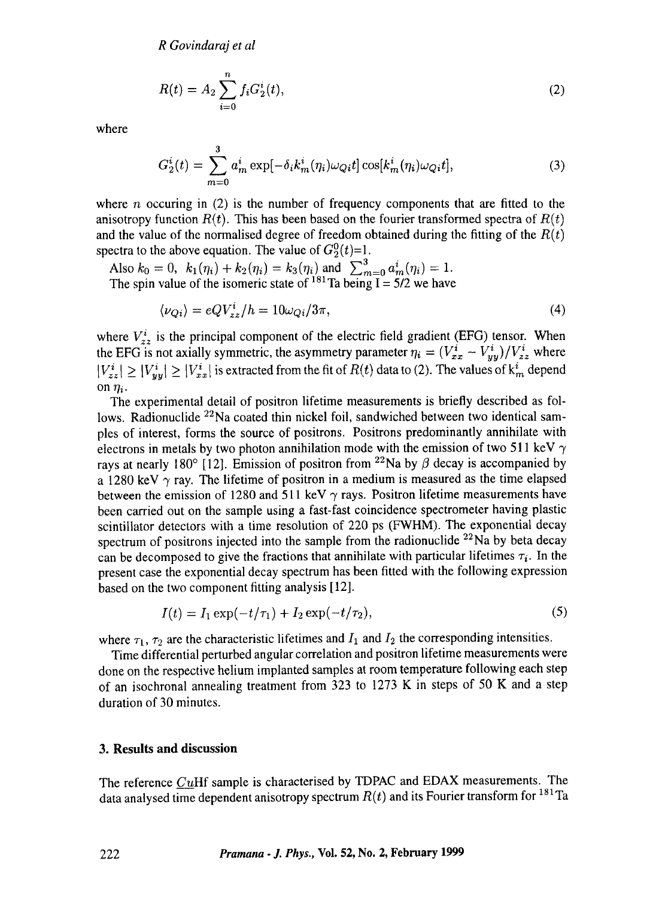*R Govindaraj et al* 

$$
R(t) = A_2 \sum_{i=0}^{n} f_i G_2^i(t),
$$
 (2)

where

$$
G_2^i(t) = \sum_{m=0}^3 a_m^i \exp[-\delta_i k_m^i(\eta_i)\omega_{Qi}t] \cos[k_m^i(\eta_i)\omega_{Qi}t],\tag{3}
$$

where  $n$  occuring in (2) is the number of frequency components that are fitted to the anisotropy function  $R(t)$ . This has been based on the fourier transformed spectra of  $R(t)$ and the value of the normalised degree of freedom obtained during the fitting of the  $R(t)$ spectra to the above equation. The value of  $G_2^0(t)=1$ .

Also  $k_0 = 0$ ,  $k_1(\eta_i) + k_2(\eta_i) = k_3(\eta_i)$  and  $\sum_{m=0}^{3} a_m^i(\eta_i) = 1$ . The spin value of the isomeric state of  $1^{81}$ Ta being I = 5/2 we have

$$
\langle \nu_{Qi} \rangle = eQ V_{zz}^i / h = 10 \omega_{Qi} / 3\pi,\tag{4}
$$

where  $V_{zz}^*$  is the principal component of the electric field gradient (EFG) tensor. When the EFG is not axially symmetric, the asymmetry parameter  $\eta_i = (V_{xx}^i - V_{yy}^i)/V_{zz}^i$  where  $|V_{zz}^i| \geq |V_{yy}^i| \geq |V_{xx}^i|$  is extracted from the fit of  $R(t)$  data to (2). The values of  $k_m^i$  depend on  $\eta_i$ .

The experimental detail of positron lifetime measurements is briefly described as follows. Radionuclide  $^{22}$ Na coated thin nickel foil, sandwiched between two identical samples of interest, forms the source of positrons. Positrons predominantly annihilate with electrons in metals by two photon annihilation mode with the emission of two 511 keV  $\gamma$ rays at nearly 180° [12]. Emission of positron from <sup>22</sup>Na by  $\beta$  decay is accompanied by a 1280 keV  $\gamma$  ray. The lifetime of positron in a medium is measured as the time elapsed between the emission of 1280 and 511 keV  $\gamma$  rays. Positron lifetime measurements have been carried out on the sample using a fast-fast coincidence spectrometer having plastic scintillator detectors with a time resolution of 220 ps (FWHM). The exponential decay spectrum of positrons injected into the sample from the radionuclide  $^{22}$ Na by beta decay can be decomposed to give the fractions that annihilate with particular lifetimes  $\tau_i$ . In the present case the exponential decay spectrum has been fitted with the following expression based on the two component fitting analysis [12].

$$
I(t) = I_1 \exp(-t/\tau_1) + I_2 \exp(-t/\tau_2), \tag{5}
$$

where  $\tau_1$ ,  $\tau_2$  are the characteristic lifetimes and  $I_1$  and  $I_2$  the corresponding intensities.

Time differential perturbed angular correlation and positron lifetime measurements were done on the respective helium implanted samples at room temperature following each step of an isochronal annealing treatment from 323 to 1273 K in steps of 50 K and a step duration of 30 minutes.

### **3. Results and discussion**

The reference *CuHf* sample is characterised by TDPAC and EDAX measurements. The data analysed time dependent anisotropy spectrum  $R(t)$  and its Fourier transform for <sup>181</sup> Ta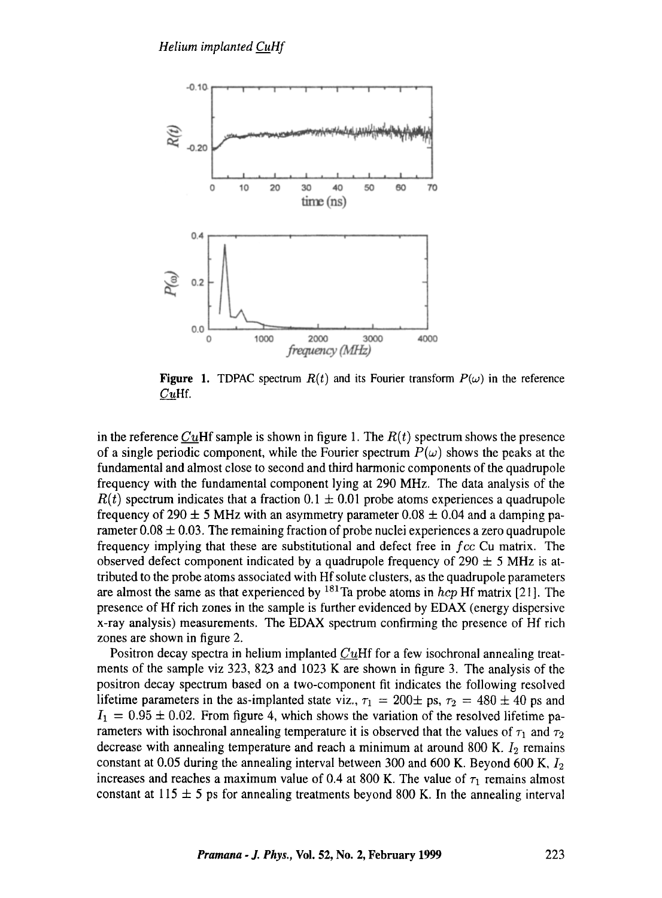

**Figure 1.** TDPAC spectrum  $R(t)$  and its Fourier transform  $P(\omega)$  in the reference  $CuHf.$ 

in the reference *CuHf* sample is shown in figure 1. The  $R(t)$  spectrum shows the presence of a single periodic component, while the Fourier spectrum  $P(\omega)$  shows the peaks at the fundamental and almost close to second and third harmonic components of the quadrupole frequency with the fundamental component lying at 290 MHz. The data analysis of the  $R(t)$  spectrum indicates that a fraction  $0.1 \pm 0.01$  probe atoms experiences a quadrupole frequency of 290  $\pm$  5 MHz with an asymmetry parameter 0.08  $\pm$  0.04 and a damping parameter  $0.08 \pm 0.03$ . The remaining fraction of probe nuclei experiences a zero quadrupole frequency implying that these are substitutional and defect free in *fcc* Cu matrix. The observed defect component indicated by a quadrupole frequency of  $290 \pm 5$  MHz is attributed to the probe atoms associated with Hf solute clusters, as the quadrupole parameters are almost the same as that experienced by  $181$ Ta probe atoms in *hcp* Hf matrix [21]. The presence of Hf rich zones in the sample is further evidenced by EDAX (energy dispersive x-ray analysis) measurements. The EDAX spectrum confirming the presence of Hf rich zones are shown in figure 2.

Positron decay spectra in helium implanted *CuHf* for a few isochronal annealing treatments of the sample viz 323, 823 and 1023 K are shown in figure 3. The analysis of the positron decay spectrum based on a two-component fit indicates the following resolved lifetime parameters in the as-implanted state viz.,  $\tau_1 = 200 \pm \text{ps}$ ,  $\tau_2 = 480 \pm 40 \text{ ps}$  and  $I_1 = 0.95 \pm 0.02$ . From figure 4, which shows the variation of the resolved lifetime parameters with isochronal annealing temperature it is observed that the values of  $\tau_1$  and  $\tau_2$ decrease with annealing temperature and reach a minimum at around 800 K.  $I_2$  remains constant at 0.05 during the annealing interval between 300 and 600 K. Beyond 600 K,  $I_2$ increases and reaches a maximum value of 0.4 at 800 K. The value of  $\tau_1$  remains almost constant at  $115 \pm 5$  ps for annealing treatments beyond 800 K. In the annealing interval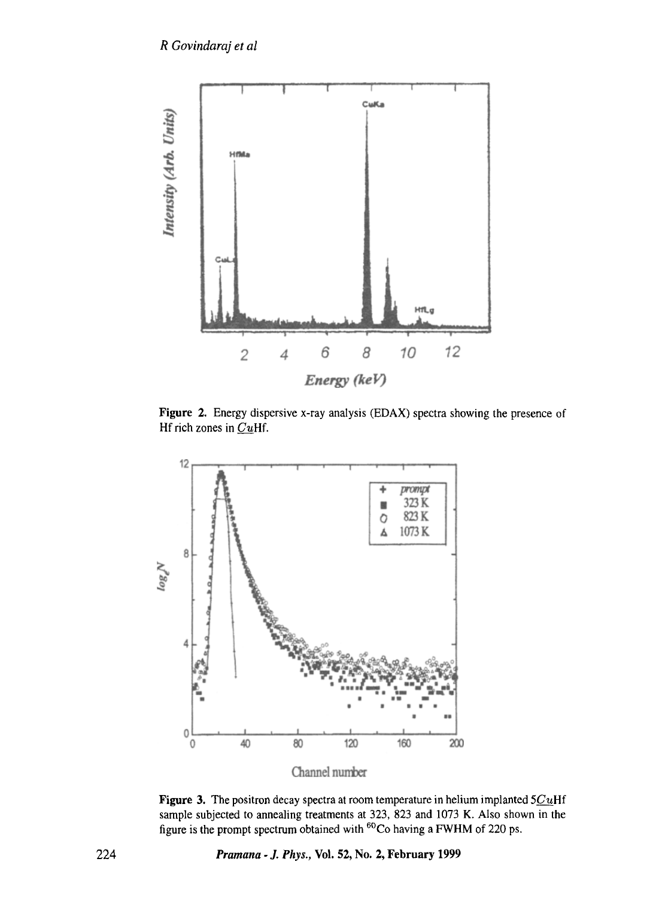

Figure 2. Energy dispersive x-ray analysis (EDAX) spectra showing the presence of Hf rich zones in  $Cu$ Hf.



Figure 3. The positron decay spectra at room temperature in helium implanted  $5Cu$ Hf sample subjected to annealing treatments at 323, 823 and 1073 K. Also shown in the figure is the prompt spectrum obtained with  ${}^{60}$ Co having a FWHM of 220 ps.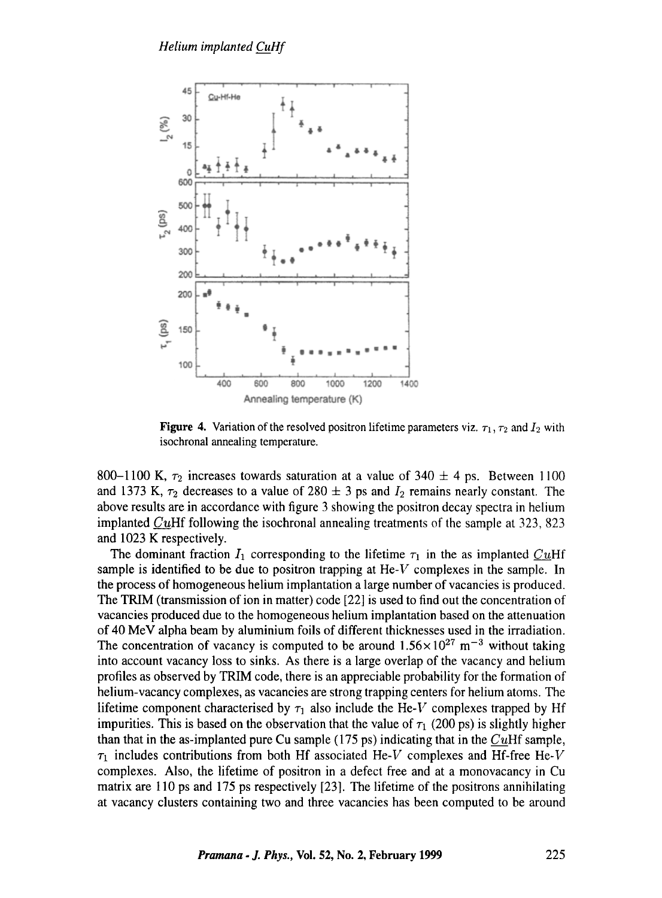

**Figure 4.** Variation of the resolved positron lifetime parameters viz.  $\tau_1, \tau_2$  and  $I_2$  with isochronal annealing temperature.

800–1100 K,  $\tau_2$  increases towards saturation at a value of 340  $\pm$  4 ps. Between 1100 and 1373 K,  $\tau_2$  decreases to a value of 280  $\pm$  3 ps and  $I_2$  remains nearly constant. The above results are in accordance with figure 3 showing the positron decay spectra in helium implanted *CuHf* following the isochronal annealing treatments of the sample at 323,823 and 1023 K respectively.

The dominant fraction  $I_1$  corresponding to the lifetime  $\tau_1$  in the as implanted  $Cu$ Hf sample is identified to be due to positron trapping at He-V complexes in the sample. In the process of homogeneous helium implantation a large number of vacancies is produced. The TRIM (transmission of ion in matter) code [22] is used to find out the concentration of vacancies produced due to the homogeneous helium implantation based on the attenuation of 40 MeV alpha beam by aluminium foils of different thicknesses used in the irradiation. The concentration of vacancy is computed to be around  $1.56 \times 10^{27}$  m<sup>-3</sup> without taking into account vacancy loss to sinks. As there is a large overlap of the vacancy and helium profiles as observed by TRIM code, there is an appreciable probability for the formation of helium-vacancy complexes, as vacancies are strong trapping centers for helium atoms. The lifetime component characterised by  $\tau_1$  also include the He-V complexes trapped by Hf impurities. This is based on the observation that the value of  $\tau_1$  (200 ps) is slightly higher than that in the as-implanted pure Cu sample (175 ps) indicating that in the *CuHf* sample,  $\tau_1$  includes contributions from both Hf associated He-V complexes and Hf-free He-V complexes. Also, the lifetime of positron in a defect free and at a monovacancy in Cu matrix are 110 ps and 175 ps respectively [23]. The lifetime of the positrons annihilating at vacancy clusters containing two and three vacancies has been computed to be around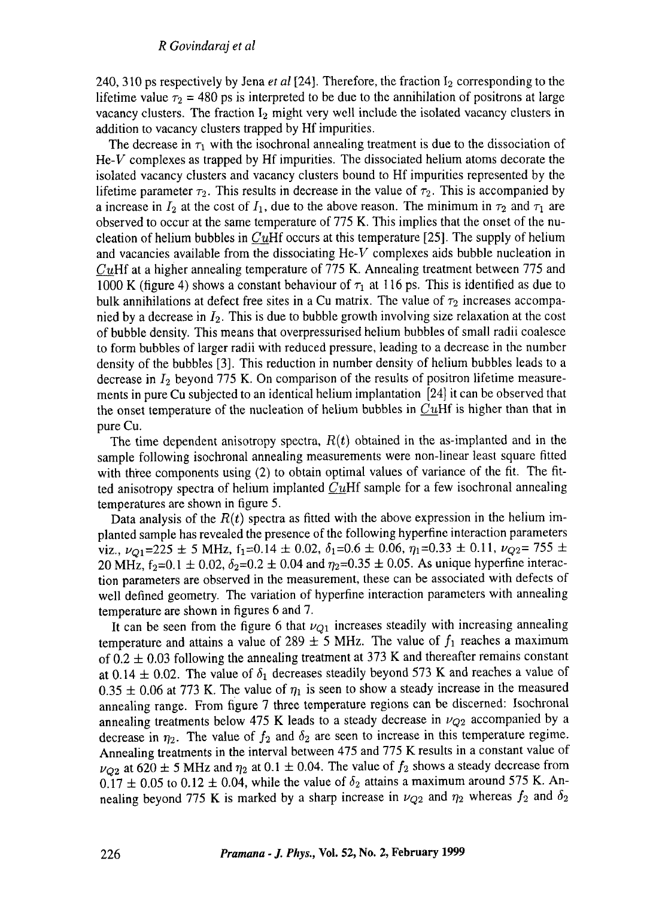240, 310 ps respectively by Jena *et al* [24]. Therefore, the fraction I2 corresponding to the lifetime value  $\tau_2$  = 480 ps is interpreted to be due to the annihilation of positrons at large vacancy clusters. The fraction  $I_2$  might very well include the isolated vacancy clusters in addition to vacancy clusters trapped by Hf impurities.

The decrease in  $\tau_1$  with the isochronal annealing treatment is due to the dissociation of  $He-V$  complexes as trapped by Hf impurities. The dissociated helium atoms decorate the isolated vacancy clusters and vacancy clusters bound to Hf impurities represented by the lifetime parameter  $\tau_2$ . This results in decrease in the value of  $\tau_2$ . This is accompanied by a increase in  $I_2$  at the cost of  $I_1$ , due to the above reason. The minimum in  $\tau_2$  and  $\tau_1$  are observed to occur at the same temperature of 775 K. This implies that the onset of the nucleation of helium bubbles in CuHf occurs at this temperature [25]. The supply of helium and vacancies available from the dissociating He-V complexes aids bubble nucleation in *CuHf* at a higher annealing temperature of 775 K. Annealing treatment between 775 and 1000 K (figure 4) shows a constant behaviour of  $\tau_1$  at 116 ps. This is identified as due to bulk annihilations at defect free sites in a Cu matrix. The value of  $\tau_2$  increases accompanied by a decrease in  $I_2$ . This is due to bubble growth involving size relaxation at the cost of bubble density. This means that overpressurised helium bubbles of small radii coalesce to form bubbles of larger radii with reduced pressure, leading to a decrease in the number density of the bubbles [3]. This reduction in number density of helium bubbles leads to a decrease in  $I_2$  beyond 775 K. On comparison of the results of positron lifetime measurements in pure Cu subjected to an identical helium implantation [24] it can be observed that the onset temperature of the nucleation of helium bubbles in *CuHf* is higher than that in pure Cu.

The time dependent anisotropy spectra,  $R(t)$  obtained in the as-implanted and in the sample following isochronal annealing measurements were non-linear least square fitted with three components using  $(2)$  to obtain optimal values of variance of the fit. The fitted anisotropy spectra of helium implanted *CuHf* sample for a few isochronal annealing temperatures are shown in figure 5.

Data analysis of the  $R(t)$  spectra as fitted with the above expression in the helium implanted sample has revealed the presence of the following hyperfine interaction parameters viz.,  $\nu_{Q1}=225 \pm 5$  MHz,  $f_1=0.14 \pm 0.02$ ,  $\delta_1=0.6 \pm 0.06$ ,  $\eta_1=0.33 \pm 0.11$ ,  $\nu_{Q2}= 755 \pm 0.00$ 20 MHz,  $f_2=0.1 \pm 0.02$ ,  $\delta_2=0.2 \pm 0.04$  and  $\eta_2=0.35 \pm 0.05$ . As unique hyperfine interaction parameters are observed in the measurement, these can be associated with defects of well defined geometry. The variation of hyperfine interaction parameters with annealing temperature are shown in figures 6 and 7.

It can be seen from the figure 6 that  $\nu_{Q1}$  increases steadily with increasing annealing temperature and attains a value of 289  $\pm$  5 MHz. The value of  $f_1$  reaches a maximum of  $0.2 \pm 0.03$  following the annealing treatment at 373 K and thereafter remains constant at 0.14  $\pm$  0.02. The value of  $\delta_1$  decreases steadily beyond 573 K and reaches a value of  $0.35 \pm 0.06$  at 773 K. The value of  $\eta_1$  is seen to show a steady increase in the measured annealing range. From figure 7 three temperature regions can be discerned: Isochronal annealing treatments below 475 K leads to a steady decrease in  $\nu_{Q2}$  accompanied by a decrease in  $\eta_2$ . The value of  $f_2$  and  $\delta_2$  are seen to increase in this temperature regime. Annealing treatments in the interval between 475 and 775 K results in a constant value of  $\nu_{Q2}$  at 620  $\pm$  5 MHz and  $\eta_2$  at 0.1  $\pm$  0.04. The value of  $f_2$  shows a steady decrease from  $0.17 \pm 0.05$  to 0.12  $\pm$  0.04, while the value of  $\delta_2$  attains a maximum around 575 K. Annealing beyond 775 K is marked by a sharp increase in  $\nu_{Q2}$  and  $\eta_2$  whereas  $f_2$  and  $\delta_2$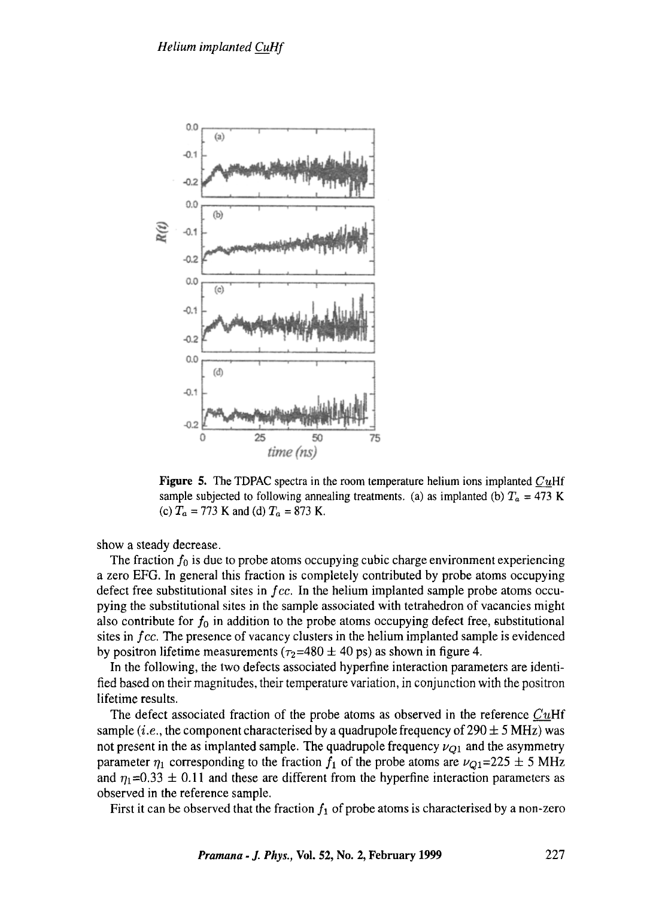

**Figure 5.** The TDPAC spectra in the room temperature helium ions implanted  $Cu$ Hf sample subjected to following annealing treatments. (a) as implanted (b)  $T_a = 473$  K (c)  $T_a = 773$  K and (d)  $T_a = 873$  K.

show a steady decrease.

The fraction  $f_0$  is due to probe atoms occupying cubic charge environment experiencing a zero EFG. In general this fraction is completely contributed by probe atoms occupying defect free substitutional sites in *fcc.* In the helium implanted sample probe atoms occupying the substitutional sites in the sample associated with tetrahedron of vacancies might also contribute for  $f_0$  in addition to the probe atoms occupying defect free, substitutional sites in *fcc. The* presence of vacancy clusters in the helium implanted sample is evidenced by positron lifetime measurements ( $\tau_2$ =480  $\pm$  40 ps) as shown in figure 4.

In the following, the two defects associated hyperfine interaction parameters are identified based on their magnitudes, their temperature variation, in conjunction with the positron lifetime results.

The defect associated fraction of the probe atoms as observed in the reference *CuHf*  sample *(i.e., the component characterised by a quadrupole frequency of 290*  $\pm$  *5 MHz) was* not present in the as implanted sample. The quadrupole frequency  $\nu_{Q1}$  and the asymmetry parameter  $\eta_1$  corresponding to the fraction  $f_1$  of the probe atoms are  $\nu_{Q1}=225 \pm 5 \text{ MHz}$ and  $\eta_1$ =0.33  $\pm$  0.11 and these are different from the hyperfine interaction parameters as observed in the reference sample.

First it can be observed that the fraction  $f_1$  of probe atoms is characterised by a non-zero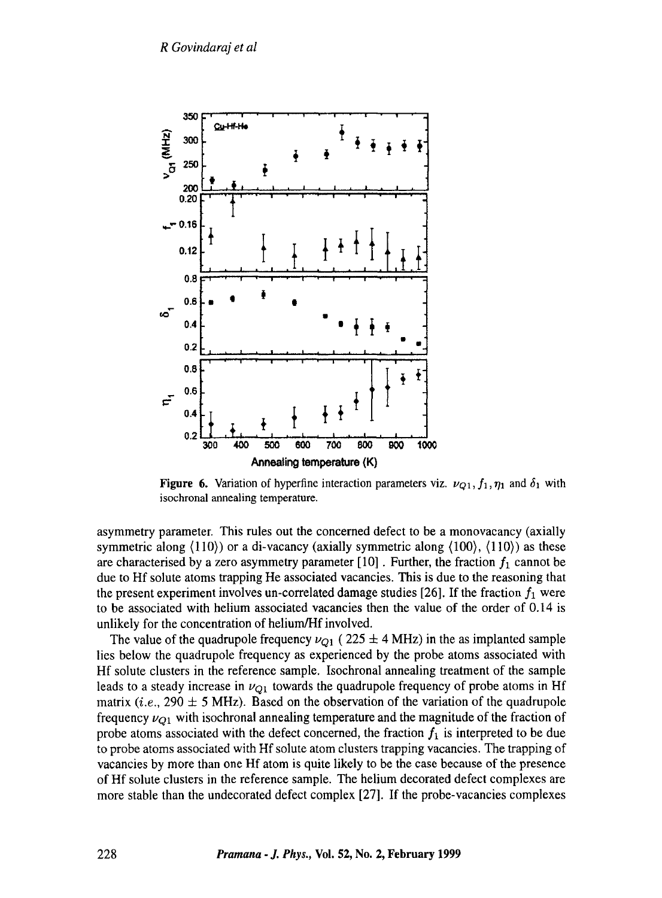

**Figure 6.** Variation of hyperfine interaction parameters viz.  $\nu_{Q1}, f_1, \eta_1$  and  $\delta_1$  with isochronal annealing temperature.

asymmetry parameter. This rules out the concerned defect to be a monovacancy (axially symmetric along  $(110)$ ) or a di-vacancy (axially symmetric along  $(100)$ ,  $(110)$ ) as these are characterised by a zero asymmetry parameter [10]. Further, the fraction  $f_1$  cannot be due to Hf solute atoms trapping He associated vacancies. This is due to the reasoning that the present experiment involves un-correlated damage studies [26]. If the fraction  $f_1$  were to be associated with helium associated vacancies then the value of the order of 0.14 is unlikely for the concentration of helium/Hf involved.

The value of the quadrupole frequency  $v_{Q1}$  ( 225  $\pm$  4 MHz) in the as implanted sample lies below the quadrupole frequency as experienced by the probe atoms associated with Hf solute clusters in the reference sample. Isochronal annealing treatment of the sample leads to a steady increase in  $\nu_{Q1}$  towards the quadrupole frequency of probe atoms in Hf matrix (*i.e.*, 290  $\pm$  5 MHz). Based on the observation of the variation of the quadrupole frequency  $\nu_{Q1}$  with isochronal annealing temperature and the magnitude of the fraction of probe atoms associated with the defect concerned, the fraction  $f_1$  is interpreted to be due to probe atoms associated with Hf solute atom clusters trapping vacancies. The trapping of vacancies by more than one Hf atom is quite likely to be the case because of the presence of Hf solute clusters in the reference sample. The helium decorated defect complexes are more stable than the undecorated defect complex [27]. If the probe-vacancies complexes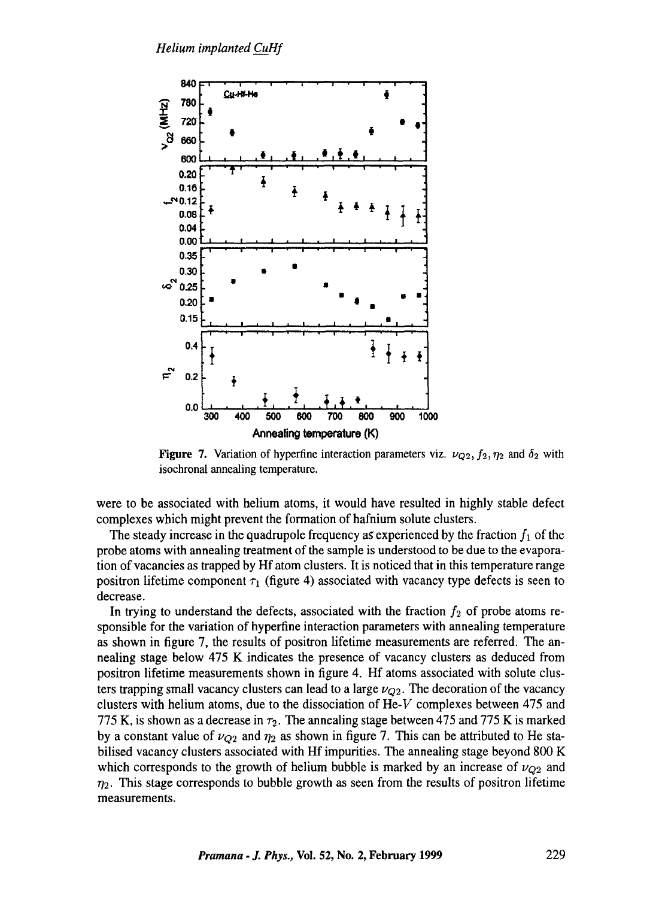

**Figure 7.** Variation of hyperfine interaction parameters viz.  $\nu_{Q2}$ ,  $f_2$ ,  $\eta_2$  and  $\delta_2$  with isochronal annealing temperature.

were to be associated with helium atoms, it would have resulted in highly stable defect complexes which might prevent the formation of hafnium solute clusters.

The steady increase in the quadrupole frequency as experienced by the fraction  $f_1$  of the probe atoms with annealing treatment of the sample is understood to be due to the evaporation of vacancies as trapped by Hf atom clusters. It is noticed that in this temperature range positron lifetime component  $\tau_1$  (figure 4) associated with vacancy type defects is seen to decrease.

In trying to understand the defects, associated with the fraction  $f_2$  of probe atoms responsible for the variation of hyperfine interaction parameters with annealing temperature as shown in figure 7, the results of positron lifetime measurements are referred. The annealing stage below 475 K indicates the presence of vacancy clusters as deduced from positron lifetime measurements shown in figure 4. Hf atoms associated with solute clusters trapping small vacancy clusters can lead to a large  $\nu_{Q2}$ . The decoration of the vacancy clusters with helium atoms, due to the dissociation of He- $V$  complexes between 475 and 775 K, is shown as a decrease in  $\tau_2$ . The annealing stage between 475 and 775 K is marked by a constant value of  $\nu_{Q2}$  and  $\eta_2$  as shown in figure 7. This can be attributed to He stabilised vacancy clusters associated with Hf impurities. The annealing stage beyond 800 K which corresponds to the growth of helium bubble is marked by an increase of  $\nu_{Q2}$  and  $\eta_2$ . This stage corresponds to bubble growth as seen from the results of positron lifetime measurements.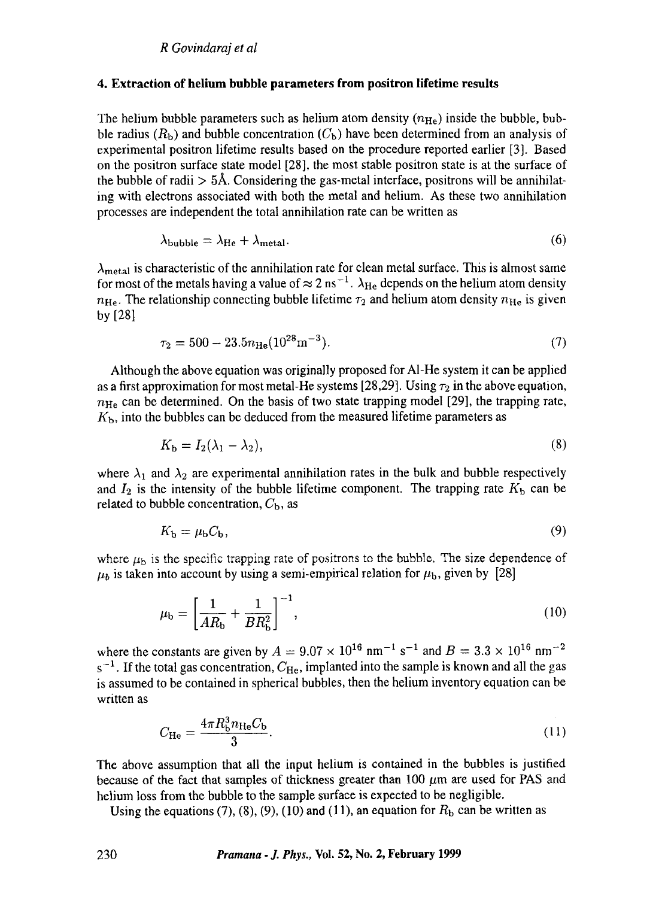#### **4. Extraction of helium bubble parameters from positron lifetime results**

The helium bubble parameters such as helium atom density  $(n_{\text{He}})$  inside the bubble, bubble radius ( $R<sub>b</sub>$ ) and bubble concentration ( $C<sub>b</sub>$ ) have been determined from an analysis of experimental positron lifetime results based on the procedure reported earlier [3]. Based on the positron surface state model [28], the most stable positron state is at the surface of the bubble of radii  $> 5\text{\AA}$ . Considering the gas-metal interface, positrons will be annihilating with electrons associated with both the metal and helium. As these two annihilation processes are independent the total annihilation rate can be written as

$$
\lambda_{\text{bubble}} = \lambda_{\text{He}} + \lambda_{\text{metal}}.\tag{6}
$$

 $\lambda_{\text{metal}}$  is characteristic of the annihilation rate for clean metal surface. This is almost same for most of the metals having a value of  $\approx 2 \text{ ns}^{-1}$ .  $\lambda_{\text{He}}$  depends on the helium atom density  $n_{\text{He}}$ . The relationship connecting bubble lifetime  $\tau_2$  and helium atom density  $n_{\text{He}}$  is given by [28]

$$
\tau_2 = 500 - 23.5 n_{\text{He}} (10^{28} \text{m}^{-3}). \tag{7}
$$

Although the above equation was originally proposed for A1-He system it can be applied as a first approximation for most metal-He systems [28,29]. Using  $\tau_2$  in the above equation,  $n_{\text{He}}$  can be determined. On the basis of two state trapping model [29], the trapping rate,  $K<sub>b</sub>$ , into the bubbles can be deduced from the measured lifetime parameters as

$$
K_{\mathbf{b}} = I_2(\lambda_1 - \lambda_2),\tag{8}
$$

where  $\lambda_1$  and  $\lambda_2$  are experimental annihilation rates in the bulk and bubble respectively and  $I_2$  is the intensity of the bubble lifetime component. The trapping rate  $K_b$  can be related to bubble concentration,  $C_{\rm b}$ , as

$$
K_{\mathbf{b}} = \mu_{\mathbf{b}} C_{\mathbf{b}},\tag{9}
$$

where  $\mu_b$  is the specific trapping rate of positrons to the bubble. The size dependence of  $\mu_b$  is taken into account by using a semi-empirical relation for  $\mu_b$ , given by [28]

$$
\mu_{\rm b} = \left[\frac{1}{AR_{\rm b}} + \frac{1}{BR_{\rm b}^2}\right]^{-1},\tag{10}
$$

where the constants are given by  $A = 9.07 \times 10^{16}$  nm<sup>-1</sup> s<sup>-1</sup> and  $B = 3.3 \times 10^{16}$  nm<sup>-2</sup>  $s^{-1}$ . If the total gas concentration,  $C_{\text{He}}$ , implanted into the sample is known and all the gas is assumed to be contained in spherical bubbles, then the helium inventory equation can be written as

$$
C_{\rm He} = \frac{4\pi R_b^3 n_{\rm He} C_b}{3}.
$$
 (11)

The above assumption that all the input helium is contained in the bubbles is justified because of the fact that samples of thickness greater than 100  $\mu$ m are used for PAS and helium loss from the bubble to the sample surface is expected to be negligible.

Using the equations (7), (8), (9), (10) and (11), an equation for  $R<sub>b</sub>$  can be written as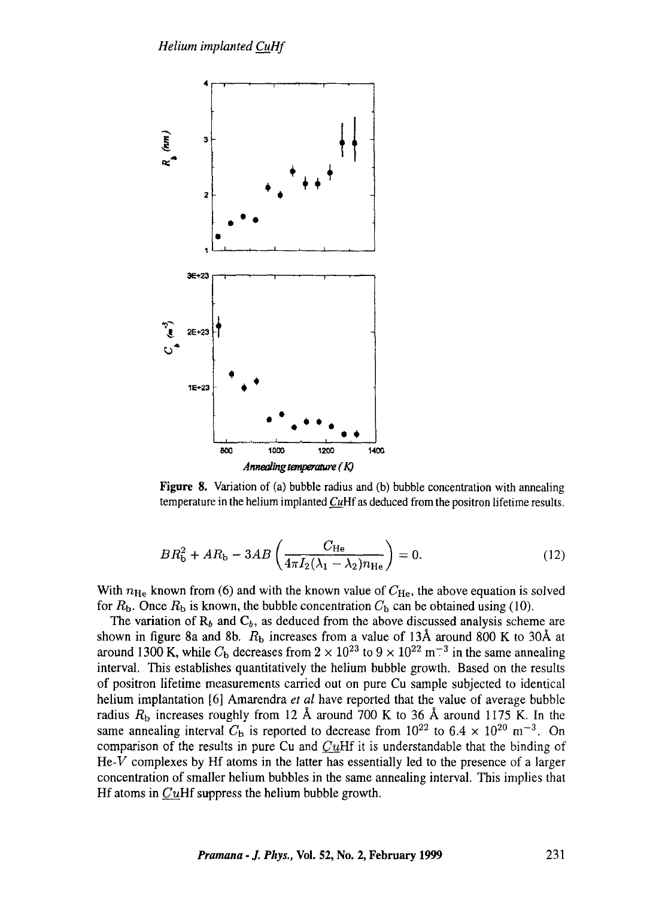

Figure 8. Variation of (a) bubble radius and (b) bubble concentration with annealing temperature in the helium implanted  $Cu$ Hf as deduced from the positron lifetime results.

$$
BR_b^2 + AR_b - 3AB \left( \frac{C_{\text{He}}}{4\pi I_2 (\lambda_1 - \lambda_2) n_{\text{He}}} \right) = 0. \tag{12}
$$

With  $n_{\text{He}}$  known from (6) and with the known value of  $C_{\text{He}}$ , the above equation is solved for  $R_{\rm b}$ . Once  $R_{\rm b}$  is known, the bubble concentration  $C_{\rm b}$  can be obtained using (10).

The variation of  $\mathbb{R}_b$  and  $\mathbb{C}_b$ , as deduced from the above discussed analysis scheme are shown in figure 8a and 8b.  $R_b$  increases from a value of 13A around 800 K to 30A at around 1300 K, while  $C_b$  decreases from  $2 \times 10^{23}$  to  $9 \times 10^{22}$  m<sup>-3</sup> in the same annealing interval. This establishes quantitatively the helium bubble growth. Based on the results of positron lifetime measurements carried out on pure Cu sample subjected to identical helium implantation [6] Amarendra *et al* have reported that the value of average bubble radius  $R_b$  increases roughly from 12 Å around 700 K to 36 Å around 1175 K. In the same annealing interval  $C_{\rm b}$  is reported to decrease from  $10^{22}$  to  $6.4 \times 10^{20}$  m<sup>-3</sup>. On comparison of the results in pure Cu and  $Cu$ Hf it is understandable that the binding of He-V complexes by Hf atoms in the latter has essentially led to the presence of a larger concentration of smaller helium bubbles in the same annealing interval. This implies that Hf atoms in *CuHf* suppress the helium bubble growth.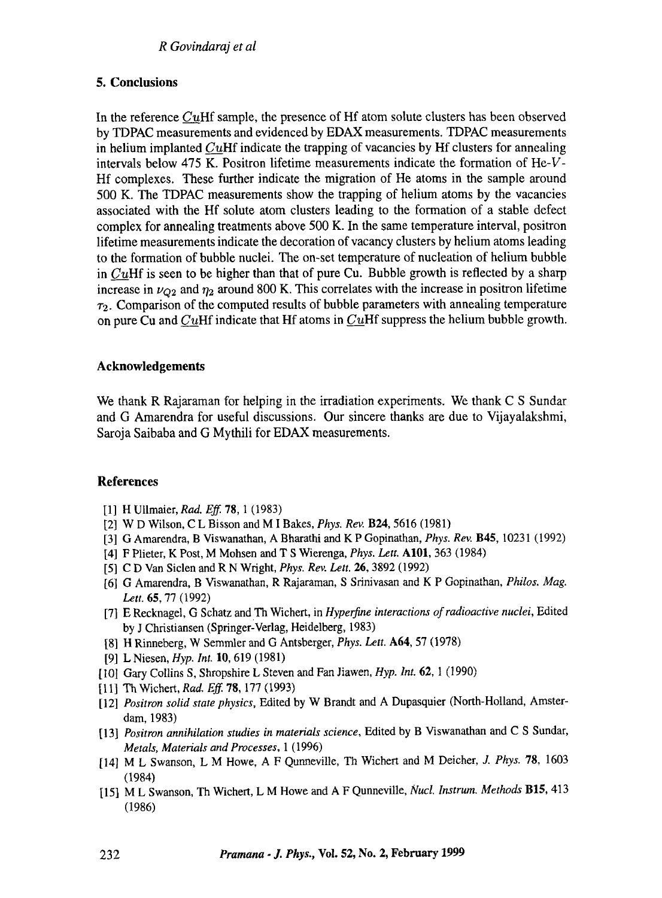# 5. **Conclusions**

In the reference *CuHf* sample, the presence of Hf atom solute clusters has been observed by TDPAC measurements and evidenced by EDAX measurements. TDPAC measurements in helium implanted  $CuHf$  indicate the trapping of vacancies by Hf clusters for annealing intervals below 475 K. Positron lifetime measurements indicate the formation of He-V-Hf complexes. These further indicate the migration of He atoms in the sample around 500 K. The TDPAC measurements show the trapping of helium atoms by the vacancies associated with the Hf solute atom clusters leading to the formation of a stable defect complex for annealing treatments above 500 K. In the same temperature interval, positron lifetime measurements indicate the decoration of vacancy clusters by helium atoms leading to the formation of bubble nuclei. The on-set temperature of nucleation of helium bubble in *CuHf* is seen to be higher than that of pure Cu. Bubble growth is reflected by a sharp increase in  $\nu_{Q2}$  and  $\eta_2$  around 800 K. This correlates with the increase in positron lifetime  $\tau_2$ . Comparison of the computed results of bubble parameters with annealing temperature on pure Cu and CuHf indicate that Hf atoms in CuHf suppress the helium bubble growth.

# **Acknowledgements**

We thank R Rajaraman for helping in the irradiation experiments. We thank C S Sundar and G Amarendra for useful discussions. Our sincere thanks are due to Vijayalakshmi, Saroja Saibaba and G Mythili for EDAX measurements.

# **References**

- [1] H Ullmaier, *Rad. Eft.* 78, 1 (1983)
- [2] W D Wilson, C L Bisson and M I Bakes, *Phys. Rev.* B24, 5616 (1981)
- [3] G Amarendra, B Viswanathan, A Bharathi and K P Gopinathan, *Phys. Rev.* B45, 10231 (1992)
- [4] F Plieter, K Post, M Mohsen and T S Wierenga, *Phys. Lett.* A101, 363 (1984)
- [5] C D Van Siclen and R N Wright, *Phys. Rev. Lett.* 26, 3892 (1992)
- [6] G Amarendra, B Viswanathan, R Rajaraman, S Srinivasan and K P Gopinathan, *Philos. Mag. Lett.* 65, 77 (1992)
- [7] E Recknagel, G Schatz and Th Wichert, in *Hyperfine interactions of radioactive nuclei,* Edited by J Christiansen (Springer-Verlag, Heidelberg, 1983)
- [8] H Rinneberg, W Semmler and G Antsberger, *Phys. Lett.* A64, 57 (1978)
- [9] L Niesen, *Hyp. Int.* 10, 619 (1981)
- [10] Gary Collins S, Shropshire L Steven and Fan Jiawen, *Hyp. Int.* 62, 1 (1990)
- [11] Th Wichert, *Rad. Eft.* 78, 177 (1993)
- [12] *Positron solid state physics*, Edited by W Brandt and A Dupasquier (North-Holland, Amsterdam, 1983)
- [ 13] *Positron annihilation studies in materials science,* Edited by B Viswanathan and C S Sundar, *Metals, Materials and Processes,* 1 (1996)
- [14] M L Swanson, L M Howe, A F Qunneville, Th Wichert and M Deicher, *J. Phys.* 78, 1603 (1984)
- [15] M L Swanson, Th Wichert, L M Howe and A F Qunneville, *Nucl. lnstrum. Methods* B15, 413 (1986)